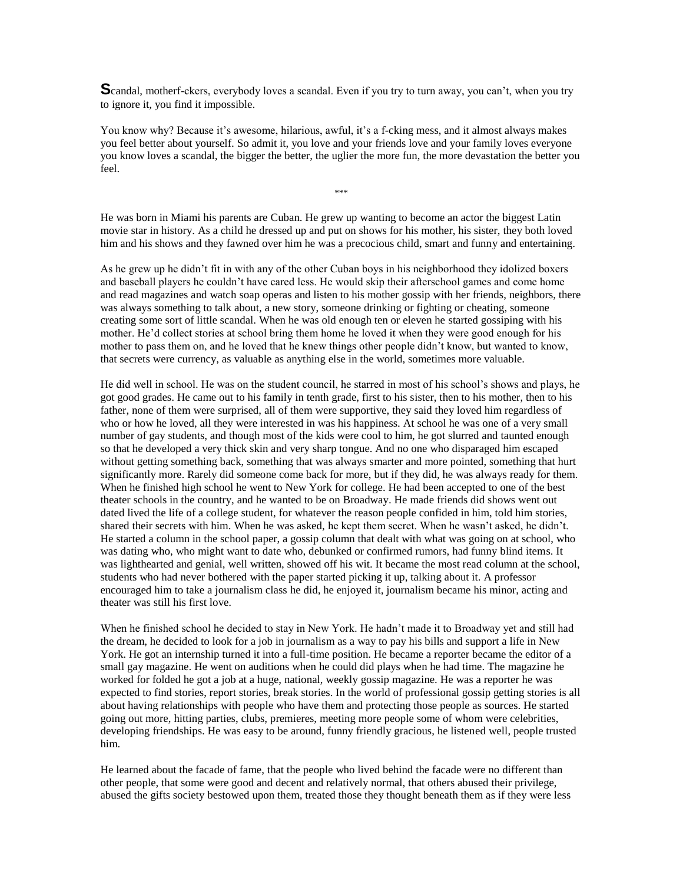**S**candal, motherf-ckers, everybody loves a scandal. Even if you try to turn away, you can't, when you try to ignore it, you find it impossible.

You know why? Because it's awesome, hilarious, awful, it's a f-cking mess, and it almost always makes you feel better about yourself. So admit it, you love and your friends love and your family loves everyone you know loves a scandal, the bigger the better, the uglier the more fun, the more devastation the better you feel.

\*\*\*

He was born in Miami his parents are Cuban. He grew up wanting to become an actor the biggest Latin movie star in history. As a child he dressed up and put on shows for his mother, his sister, they both loved him and his shows and they fawned over him he was a precocious child, smart and funny and entertaining.

As he grew up he didn't fit in with any of the other Cuban boys in his neighborhood they idolized boxers and baseball players he couldn't have cared less. He would skip their afterschool games and come home and read magazines and watch soap operas and listen to his mother gossip with her friends, neighbors, there was always something to talk about, a new story, someone drinking or fighting or cheating, someone creating some sort of little scandal. When he was old enough ten or eleven he started gossiping with his mother. He'd collect stories at school bring them home he loved it when they were good enough for his mother to pass them on, and he loved that he knew things other people didn't know, but wanted to know, that secrets were currency, as valuable as anything else in the world, sometimes more valuable.

He did well in school. He was on the student council, he starred in most of his school's shows and plays, he got good grades. He came out to his family in tenth grade, first to his sister, then to his mother, then to his father, none of them were surprised, all of them were supportive, they said they loved him regardless of who or how he loved, all they were interested in was his happiness. At school he was one of a very small number of gay students, and though most of the kids were cool to him, he got slurred and taunted enough so that he developed a very thick skin and very sharp tongue. And no one who disparaged him escaped without getting something back, something that was always smarter and more pointed, something that hurt significantly more. Rarely did someone come back for more, but if they did, he was always ready for them. When he finished high school he went to New York for college. He had been accepted to one of the best theater schools in the country, and he wanted to be on Broadway. He made friends did shows went out dated lived the life of a college student, for whatever the reason people confided in him, told him stories, shared their secrets with him. When he was asked, he kept them secret. When he wasn't asked, he didn't. He started a column in the school paper, a gossip column that dealt with what was going on at school, who was dating who, who might want to date who, debunked or confirmed rumors, had funny blind items. It was lighthearted and genial, well written, showed off his wit. It became the most read column at the school, students who had never bothered with the paper started picking it up, talking about it. A professor encouraged him to take a journalism class he did, he enjoyed it, journalism became his minor, acting and theater was still his first love.

When he finished school he decided to stay in New York. He hadn't made it to Broadway yet and still had the dream, he decided to look for a job in journalism as a way to pay his bills and support a life in New York. He got an internship turned it into a full-time position. He became a reporter became the editor of a small gay magazine. He went on auditions when he could did plays when he had time. The magazine he worked for folded he got a job at a huge, national, weekly gossip magazine. He was a reporter he was expected to find stories, report stories, break stories. In the world of professional gossip getting stories is all about having relationships with people who have them and protecting those people as sources. He started going out more, hitting parties, clubs, premieres, meeting more people some of whom were celebrities, developing friendships. He was easy to be around, funny friendly gracious, he listened well, people trusted him.

He learned about the facade of fame, that the people who lived behind the facade were no different than other people, that some were good and decent and relatively normal, that others abused their privilege, abused the gifts society bestowed upon them, treated those they thought beneath them as if they were less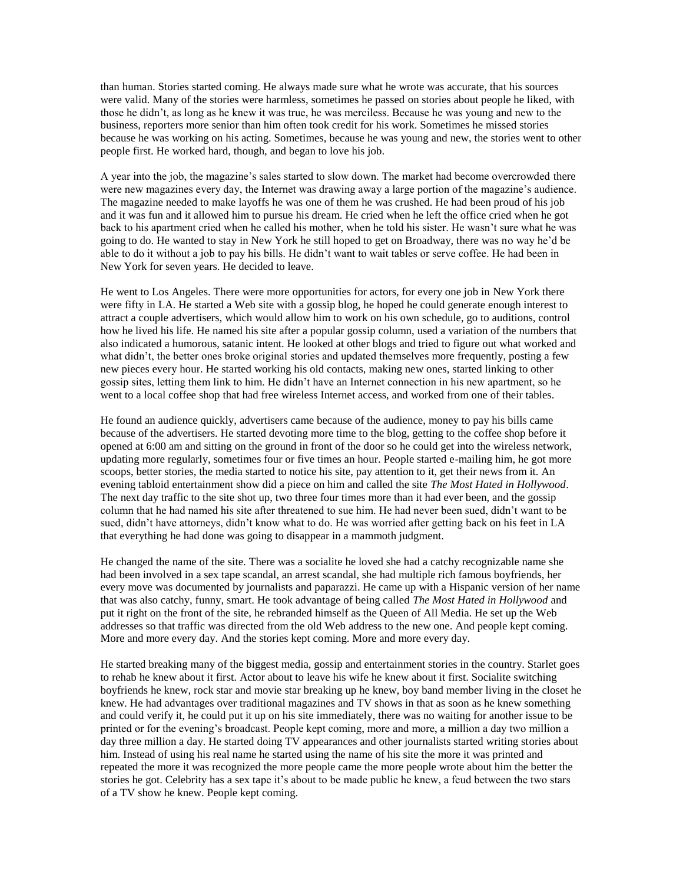than human. Stories started coming. He always made sure what he wrote was accurate, that his sources were valid. Many of the stories were harmless, sometimes he passed on stories about people he liked, with those he didn't, as long as he knew it was true, he was merciless. Because he was young and new to the business, reporters more senior than him often took credit for his work. Sometimes he missed stories because he was working on his acting. Sometimes, because he was young and new, the stories went to other people first. He worked hard, though, and began to love his job.

A year into the job, the magazine's sales started to slow down. The market had become overcrowded there were new magazines every day, the Internet was drawing away a large portion of the magazine's audience. The magazine needed to make layoffs he was one of them he was crushed. He had been proud of his job and it was fun and it allowed him to pursue his dream. He cried when he left the office cried when he got back to his apartment cried when he called his mother, when he told his sister. He wasn't sure what he was going to do. He wanted to stay in New York he still hoped to get on Broadway, there was no way he'd be able to do it without a job to pay his bills. He didn't want to wait tables or serve coffee. He had been in New York for seven years. He decided to leave.

He went to Los Angeles. There were more opportunities for actors, for every one job in New York there were fifty in LA. He started a Web site with a gossip blog, he hoped he could generate enough interest to attract a couple advertisers, which would allow him to work on his own schedule, go to auditions, control how he lived his life. He named his site after a popular gossip column, used a variation of the numbers that also indicated a humorous, satanic intent. He looked at other blogs and tried to figure out what worked and what didn't, the better ones broke original stories and updated themselves more frequently, posting a few new pieces every hour. He started working his old contacts, making new ones, started linking to other gossip sites, letting them link to him. He didn't have an Internet connection in his new apartment, so he went to a local coffee shop that had free wireless Internet access, and worked from one of their tables.

He found an audience quickly, advertisers came because of the audience, money to pay his bills came because of the advertisers. He started devoting more time to the blog, getting to the coffee shop before it opened at 6:00 am and sitting on the ground in front of the door so he could get into the wireless network, updating more regularly, sometimes four or five times an hour. People started e-mailing him, he got more scoops, better stories, the media started to notice his site, pay attention to it, get their news from it. An evening tabloid entertainment show did a piece on him and called the site *The Most Hated in Hollywood*. The next day traffic to the site shot up, two three four times more than it had ever been, and the gossip column that he had named his site after threatened to sue him. He had never been sued, didn't want to be sued, didn't have attorneys, didn't know what to do. He was worried after getting back on his feet in LA that everything he had done was going to disappear in a mammoth judgment.

He changed the name of the site. There was a socialite he loved she had a catchy recognizable name she had been involved in a sex tape scandal, an arrest scandal, she had multiple rich famous boyfriends, her every move was documented by journalists and paparazzi. He came up with a Hispanic version of her name that was also catchy, funny, smart. He took advantage of being called *The Most Hated in Hollywood* and put it right on the front of the site, he rebranded himself as the Queen of All Media. He set up the Web addresses so that traffic was directed from the old Web address to the new one. And people kept coming. More and more every day. And the stories kept coming. More and more every day.

He started breaking many of the biggest media, gossip and entertainment stories in the country. Starlet goes to rehab he knew about it first. Actor about to leave his wife he knew about it first. Socialite switching boyfriends he knew, rock star and movie star breaking up he knew, boy band member living in the closet he knew. He had advantages over traditional magazines and TV shows in that as soon as he knew something and could verify it, he could put it up on his site immediately, there was no waiting for another issue to be printed or for the evening's broadcast. People kept coming, more and more, a million a day two million a day three million a day. He started doing TV appearances and other journalists started writing stories about him. Instead of using his real name he started using the name of his site the more it was printed and repeated the more it was recognized the more people came the more people wrote about him the better the stories he got. Celebrity has a sex tape it's about to be made public he knew, a feud between the two stars of a TV show he knew. People kept coming.